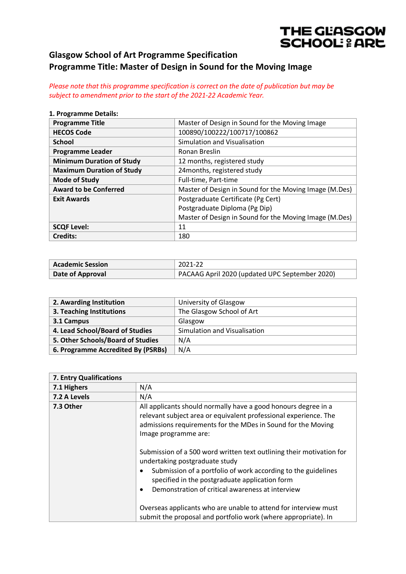## THE GLASGOW **SCHOOL: & ARE**

## **Glasgow School of Art Programme Specification Programme Title: Master of Design in Sound for the Moving Image**

*Please note that this programme specification is correct on the date of publication but may be subject to amendment prior to the start of the 2021-22 Academic Year.*

#### **1. Programme Details:**

| <b>Programme Title</b>           | Master of Design in Sound for the Moving Image         |
|----------------------------------|--------------------------------------------------------|
| <b>HECOS Code</b>                | 100890/100222/100717/100862                            |
| <b>School</b>                    | Simulation and Visualisation                           |
| <b>Programme Leader</b>          | Ronan Breslin                                          |
| <b>Minimum Duration of Study</b> | 12 months, registered study                            |
| <b>Maximum Duration of Study</b> | 24months, registered study                             |
| <b>Mode of Study</b>             | Full-time, Part-time                                   |
| <b>Award to be Conferred</b>     | Master of Design in Sound for the Moving Image (M.Des) |
| <b>Exit Awards</b>               | Postgraduate Certificate (Pg Cert)                     |
|                                  | Postgraduate Diploma (Pg Dip)                          |
|                                  | Master of Design in Sound for the Moving Image (M.Des) |
| <b>SCQF Level:</b>               | 11                                                     |
| <b>Credits:</b>                  | 180                                                    |

| <b>Academic Session</b> | 2021-22                                        |
|-------------------------|------------------------------------------------|
| Date of Approval        | PACAAG April 2020 (updated UPC September 2020) |

| 2. Awarding Institution            | University of Glasgow        |
|------------------------------------|------------------------------|
| 3. Teaching Institutions           | The Glasgow School of Art    |
| 3.1 Campus                         | Glasgow                      |
| 4. Lead School/Board of Studies    | Simulation and Visualisation |
| 5. Other Schools/Board of Studies  | N/A                          |
| 6. Programme Accredited By (PSRBs) | N/A                          |

| 7. Entry Qualifications |                                                                                                                                                                                                                                                                                                                                                                                                                                                                                                                                                                                                                                                                    |
|-------------------------|--------------------------------------------------------------------------------------------------------------------------------------------------------------------------------------------------------------------------------------------------------------------------------------------------------------------------------------------------------------------------------------------------------------------------------------------------------------------------------------------------------------------------------------------------------------------------------------------------------------------------------------------------------------------|
| 7.1 Highers             | N/A                                                                                                                                                                                                                                                                                                                                                                                                                                                                                                                                                                                                                                                                |
| 7.2 A Levels            | N/A                                                                                                                                                                                                                                                                                                                                                                                                                                                                                                                                                                                                                                                                |
| 7.3 Other               | All applicants should normally have a good honours degree in a<br>relevant subject area or equivalent professional experience. The<br>admissions requirements for the MDes in Sound for the Moving<br>Image programme are:<br>Submission of a 500 word written text outlining their motivation for<br>undertaking postgraduate study<br>Submission of a portfolio of work according to the guidelines<br>٠<br>specified in the postgraduate application form<br>Demonstration of critical awareness at interview<br>$\bullet$<br>Overseas applicants who are unable to attend for interview must<br>submit the proposal and portfolio work (where appropriate). In |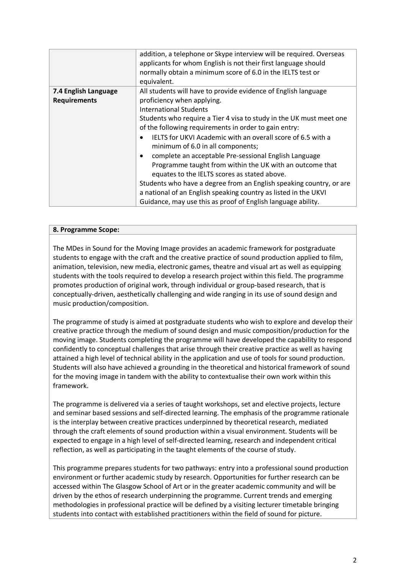|                                             | addition, a telephone or Skype interview will be required. Overseas<br>applicants for whom English is not their first language should<br>normally obtain a minimum score of 6.0 in the IELTS test or<br>equivalent.                                                                                                                                                                                                                                                                                                                                                                                                                                                                                                                              |
|---------------------------------------------|--------------------------------------------------------------------------------------------------------------------------------------------------------------------------------------------------------------------------------------------------------------------------------------------------------------------------------------------------------------------------------------------------------------------------------------------------------------------------------------------------------------------------------------------------------------------------------------------------------------------------------------------------------------------------------------------------------------------------------------------------|
| 7.4 English Language<br><b>Requirements</b> | All students will have to provide evidence of English language<br>proficiency when applying.<br><b>International Students</b><br>Students who require a Tier 4 visa to study in the UK must meet one<br>of the following requirements in order to gain entry:<br>IELTS for UKVI Academic with an overall score of 6.5 with a<br>minimum of 6.0 in all components;<br>complete an acceptable Pre-sessional English Language<br>Programme taught from within the UK with an outcome that<br>equates to the IELTS scores as stated above.<br>Students who have a degree from an English speaking country, or are<br>a national of an English speaking country as listed in the UKVI<br>Guidance, may use this as proof of English language ability. |

#### **8. Programme Scope:**

The MDes in Sound for the Moving Image provides an academic framework for postgraduate students to engage with the craft and the creative practice of sound production applied to film, animation, television, new media, electronic games, theatre and visual art as well as equipping students with the tools required to develop a research project within this field. The programme promotes production of original work, through individual or group-based research, that is conceptually-driven, aesthetically challenging and wide ranging in its use of sound design and music production/composition.

The programme of study is aimed at postgraduate students who wish to explore and develop their creative practice through the medium of sound design and music composition/production for the moving image. Students completing the programme will have developed the capability to respond confidently to conceptual challenges that arise through their creative practice as well as having attained a high level of technical ability in the application and use of tools for sound production. Students will also have achieved a grounding in the theoretical and historical framework of sound for the moving image in tandem with the ability to contextualise their own work within this framework.

The programme is delivered via a series of taught workshops, set and elective projects, lecture and seminar based sessions and self-directed learning. The emphasis of the programme rationale is the interplay between creative practices underpinned by theoretical research, mediated through the craft elements of sound production within a visual environment. Students will be expected to engage in a high level of self-directed learning, research and independent critical reflection, as well as participating in the taught elements of the course of study.

This programme prepares students for two pathways: entry into a professional sound production environment or further academic study by research. Opportunities for further research can be accessed within The Glasgow School of Art or in the greater academic community and will be driven by the ethos of research underpinning the programme. Current trends and emerging methodologies in professional practice will be defined by a visiting lecturer timetable bringing students into contact with established practitioners within the field of sound for picture.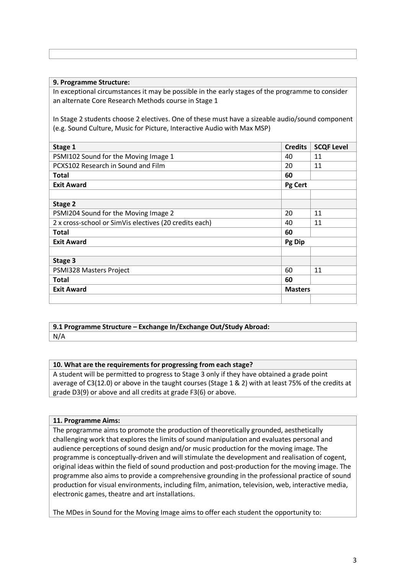#### **9. Programme Structure:**

In exceptional circumstances it may be possible in the early stages of the programme to consider an alternate Core Research Methods course in Stage 1

In Stage 2 students choose 2 electives. One of these must have a sizeable audio/sound component (e.g. Sound Culture, Music for Picture, Interactive Audio with Max MSP)

| Stage 1                                                | <b>Credits</b> | <b>SCQF Level</b> |
|--------------------------------------------------------|----------------|-------------------|
| PSMI102 Sound for the Moving Image 1                   | 40             | 11                |
| PCXS102 Research in Sound and Film                     | 20             | 11                |
| Total                                                  | 60             |                   |
| <b>Exit Award</b>                                      | Pg Cert        |                   |
|                                                        |                |                   |
| Stage 2                                                |                |                   |
| PSMI204 Sound for the Moving Image 2                   | 20             | 11                |
| 2 x cross-school or SimVis electives (20 credits each) | 40             | 11                |
| Total                                                  | 60             |                   |
| <b>Exit Award</b>                                      | Pg Dip         |                   |
|                                                        |                |                   |
| Stage 3                                                |                |                   |
| PSMI328 Masters Project                                | 60             | 11                |
| <b>Total</b>                                           | 60             |                   |
| <b>Exit Award</b>                                      | <b>Masters</b> |                   |
|                                                        |                |                   |

## **9.1 Programme Structure – Exchange In/Exchange Out/Study Abroad:**

N/A

### **10. What are the requirements for progressing from each stage?**

A student will be permitted to progress to Stage 3 only if they have obtained a grade point average of C3(12.0) or above in the taught courses (Stage 1 & 2) with at least 75% of the credits at grade D3(9) or above and all credits at grade F3(6) or above.

#### **11. Programme Aims:**

The programme aims to promote the production of theoretically grounded, aesthetically challenging work that explores the limits of sound manipulation and evaluates personal and audience perceptions of sound design and/or music production for the moving image. The programme is conceptually-driven and will stimulate the development and realisation of cogent, original ideas within the field of sound production and post-production for the moving image. The programme also aims to provide a comprehensive grounding in the professional practice of sound production for visual environments, including film, animation, television, web, interactive media, electronic games, theatre and art installations.

The MDes in Sound for the Moving Image aims to offer each student the opportunity to: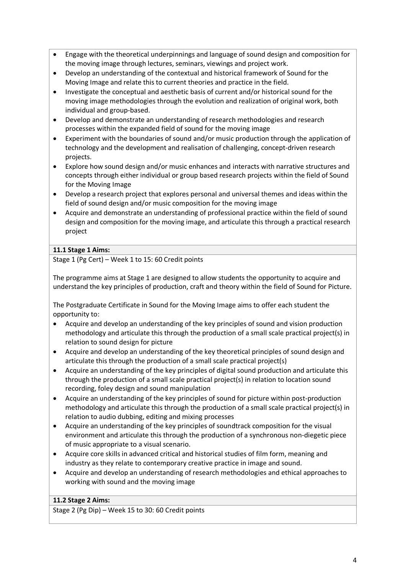- Engage with the theoretical underpinnings and language of sound design and composition for the moving image through lectures, seminars, viewings and project work.
- Develop an understanding of the contextual and historical framework of Sound for the Moving Image and relate this to current theories and practice in the field.
- Investigate the conceptual and aesthetic basis of current and/or historical sound for the moving image methodologies through the evolution and realization of original work, both individual and group-based.
- Develop and demonstrate an understanding of research methodologies and research processes within the expanded field of sound for the moving image
- Experiment with the boundaries of sound and/or music production through the application of technology and the development and realisation of challenging, concept-driven research projects.
- Explore how sound design and/or music enhances and interacts with narrative structures and concepts through either individual or group based research projects within the field of Sound for the Moving Image
- Develop a research project that explores personal and universal themes and ideas within the field of sound design and/or music composition for the moving image
- Acquire and demonstrate an understanding of professional practice within the field of sound design and composition for the moving image, and articulate this through a practical research project

## **11.1 Stage 1 Aims:**

Stage 1 (Pg Cert) – Week 1 to 15: 60 Credit points

The programme aims at Stage 1 are designed to allow students the opportunity to acquire and understand the key principles of production, craft and theory within the field of Sound for Picture.

The Postgraduate Certificate in Sound for the Moving Image aims to offer each student the opportunity to:

- Acquire and develop an understanding of the key principles of sound and vision production methodology and articulate this through the production of a small scale practical project(s) in relation to sound design for picture
- Acquire and develop an understanding of the key theoretical principles of sound design and articulate this through the production of a small scale practical project(s)
- Acquire an understanding of the key principles of digital sound production and articulate this through the production of a small scale practical project(s) in relation to location sound recording, foley design and sound manipulation
- Acquire an understanding of the key principles of sound for picture within post-production methodology and articulate this through the production of a small scale practical project(s) in relation to audio dubbing, editing and mixing processes
- Acquire an understanding of the key principles of soundtrack composition for the visual environment and articulate this through the production of a synchronous non-diegetic piece of music appropriate to a visual scenario.
- Acquire core skills in advanced critical and historical studies of film form, meaning and industry as they relate to contemporary creative practice in image and sound.
- Acquire and develop an understanding of research methodologies and ethical approaches to working with sound and the moving image

## **11.2 Stage 2 Aims:**

Stage 2 (Pg Dip) – Week 15 to 30: 60 Credit points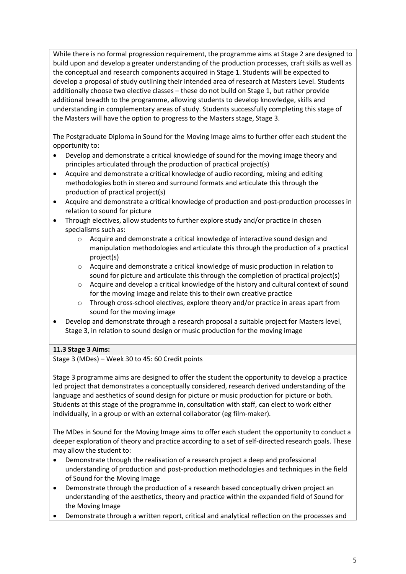While there is no formal progression requirement, the programme aims at Stage 2 are designed to build upon and develop a greater understanding of the production processes, craft skills as well as the conceptual and research components acquired in Stage 1. Students will be expected to develop a proposal of study outlining their intended area of research at Masters Level. Students additionally choose two elective classes – these do not build on Stage 1, but rather provide additional breadth to the programme, allowing students to develop knowledge, skills and understanding in complementary areas of study. Students successfully completing this stage of the Masters will have the option to progress to the Masters stage, Stage 3.

The Postgraduate Diploma in Sound for the Moving Image aims to further offer each student the opportunity to:

- Develop and demonstrate a critical knowledge of sound for the moving image theory and principles articulated through the production of practical project(s)
- Acquire and demonstrate a critical knowledge of audio recording, mixing and editing methodologies both in stereo and surround formats and articulate this through the production of practical project(s)
- Acquire and demonstrate a critical knowledge of production and post-production processes in relation to sound for picture
- Through electives, allow students to further explore study and/or practice in chosen specialisms such as:
	- o Acquire and demonstrate a critical knowledge of interactive sound design and manipulation methodologies and articulate this through the production of a practical project(s)
	- o Acquire and demonstrate a critical knowledge of music production in relation to sound for picture and articulate this through the completion of practical project(s)
	- o Acquire and develop a critical knowledge of the history and cultural context of sound for the moving image and relate this to their own creative practice
	- o Through cross-school electives, explore theory and/or practice in areas apart from sound for the moving image
- Develop and demonstrate through a research proposal a suitable project for Masters level, Stage 3, in relation to sound design or music production for the moving image

## **11.3 Stage 3 Aims:**

Stage 3 (MDes) – Week 30 to 45: 60 Credit points

Stage 3 programme aims are designed to offer the student the opportunity to develop a practice led project that demonstrates a conceptually considered, research derived understanding of the language and aesthetics of sound design for picture or music production for picture or both. Students at this stage of the programme in, consultation with staff, can elect to work either individually, in a group or with an external collaborator (eg film-maker).

The MDes in Sound for the Moving Image aims to offer each student the opportunity to conduct a deeper exploration of theory and practice according to a set of self-directed research goals. These may allow the student to:

- Demonstrate through the realisation of a research project a deep and professional understanding of production and post-production methodologies and techniques in the field of Sound for the Moving Image
- Demonstrate through the production of a research based conceptually driven project an understanding of the aesthetics, theory and practice within the expanded field of Sound for the Moving Image
- Demonstrate through a written report, critical and analytical reflection on the processes and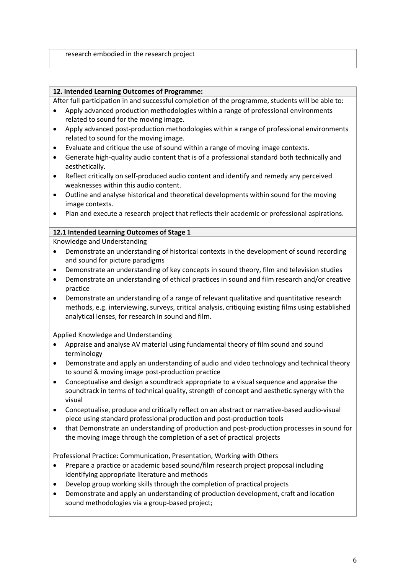#### **12. Intended Learning Outcomes of Programme:**

After full participation in and successful completion of the programme, students will be able to:

- Apply advanced production methodologies within a range of professional environments related to sound for the moving image.
- Apply advanced post-production methodologies within a range of professional environments related to sound for the moving image.
- Evaluate and critique the use of sound within a range of moving image contexts.
- Generate high-quality audio content that is of a professional standard both technically and aesthetically.
- Reflect critically on self-produced audio content and identify and remedy any perceived weaknesses within this audio content.
- Outline and analyse historical and theoretical developments within sound for the moving image contexts.
- Plan and execute a research project that reflects their academic or professional aspirations.

#### **12.1 Intended Learning Outcomes of Stage 1**

#### Knowledge and Understanding

- Demonstrate an understanding of historical contexts in the development of sound recording and sound for picture paradigms
- Demonstrate an understanding of key concepts in sound theory, film and television studies
- Demonstrate an understanding of ethical practices in sound and film research and/or creative practice
- Demonstrate an understanding of a range of relevant qualitative and quantitative research methods, e.g. interviewing, surveys, critical analysis, critiquing existing films using established analytical lenses, for research in sound and film.

Applied Knowledge and Understanding

- Appraise and analyse AV material using fundamental theory of film sound and sound terminology
- Demonstrate and apply an understanding of audio and video technology and technical theory to sound & moving image post-production practice
- Conceptualise and design a soundtrack appropriate to a visual sequence and appraise the soundtrack in terms of technical quality, strength of concept and aesthetic synergy with the visual
- Conceptualise, produce and critically reflect on an abstract or narrative-based audio-visual piece using standard professional production and post-production tools
- that Demonstrate an understanding of production and post-production processes in sound for the moving image through the completion of a set of practical projects

Professional Practice: Communication, Presentation, Working with Others

- Prepare a practice or academic based sound/film research project proposal including identifying appropriate literature and methods
- Develop group working skills through the completion of practical projects
- Demonstrate and apply an understanding of production development, craft and location sound methodologies via a group-based project;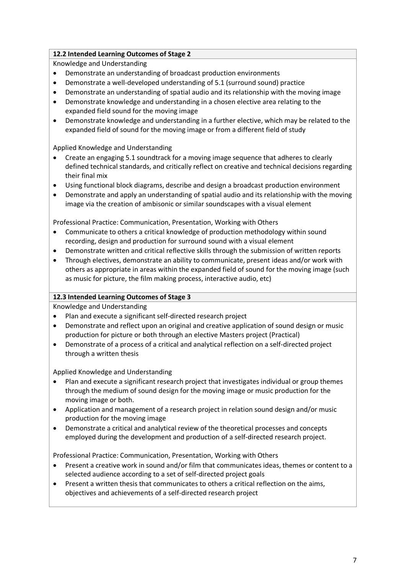## **12.2 Intended Learning Outcomes of Stage 2**

Knowledge and Understanding

- Demonstrate an understanding of broadcast production environments
- Demonstrate a well-developed understanding of 5.1 (surround sound) practice
- Demonstrate an understanding of spatial audio and its relationship with the moving image
- Demonstrate knowledge and understanding in a chosen elective area relating to the expanded field sound for the moving image
- Demonstrate knowledge and understanding in a further elective, which may be related to the expanded field of sound for the moving image or from a different field of study

Applied Knowledge and Understanding

- Create an engaging 5.1 soundtrack for a moving image sequence that adheres to clearly defined technical standards, and critically reflect on creative and technical decisions regarding their final mix
- Using functional block diagrams, describe and design a broadcast production environment
- Demonstrate and apply an understanding of spatial audio and its relationship with the moving image via the creation of ambisonic or similar soundscapes with a visual element

Professional Practice: Communication, Presentation, Working with Others

- Communicate to others a critical knowledge of production methodology within sound recording, design and production for surround sound with a visual element
- Demonstrate written and critical reflective skills through the submission of written reports
- Through electives, demonstrate an ability to communicate, present ideas and/or work with others as appropriate in areas within the expanded field of sound for the moving image (such as music for picture, the film making process, interactive audio, etc)

### **12.3 Intended Learning Outcomes of Stage 3**

Knowledge and Understanding

- Plan and execute a significant self-directed research project
- Demonstrate and reflect upon an original and creative application of sound design or music production for picture or both through an elective Masters project (Practical)
- Demonstrate of a process of a critical and analytical reflection on a self-directed project through a written thesis

Applied Knowledge and Understanding

- Plan and execute a significant research project that investigates individual or group themes through the medium of sound design for the moving image or music production for the moving image or both.
- Application and management of a research project in relation sound design and/or music production for the moving image
- Demonstrate a critical and analytical review of the theoretical processes and concepts employed during the development and production of a self-directed research project.

Professional Practice: Communication, Presentation, Working with Others

- Present a creative work in sound and/or film that communicates ideas, themes or content to a selected audience according to a set of self-directed project goals
- Present a written thesis that communicates to others a critical reflection on the aims, objectives and achievements of a self-directed research project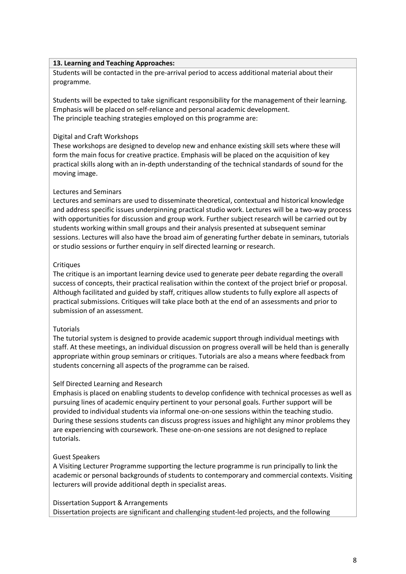#### **13. Learning and Teaching Approaches:**

Students will be contacted in the pre-arrival period to access additional material about their programme.

Students will be expected to take significant responsibility for the management of their learning. Emphasis will be placed on self-reliance and personal academic development. The principle teaching strategies employed on this programme are:

#### Digital and Craft Workshops

These workshops are designed to develop new and enhance existing skill sets where these will form the main focus for creative practice. Emphasis will be placed on the acquisition of key practical skills along with an in-depth understanding of the technical standards of sound for the moving image.

#### Lectures and Seminars

Lectures and seminars are used to disseminate theoretical, contextual and historical knowledge and address specific issues underpinning practical studio work. Lectures will be a two-way process with opportunities for discussion and group work. Further subject research will be carried out by students working within small groups and their analysis presented at subsequent seminar sessions. Lectures will also have the broad aim of generating further debate in seminars, tutorials or studio sessions or further enquiry in self directed learning or research.

#### **Critiques**

The critique is an important learning device used to generate peer debate regarding the overall success of concepts, their practical realisation within the context of the project brief or proposal. Although facilitated and guided by staff, critiques allow students to fully explore all aspects of practical submissions. Critiques will take place both at the end of an assessments and prior to submission of an assessment.

#### **Tutorials**

The tutorial system is designed to provide academic support through individual meetings with staff. At these meetings, an individual discussion on progress overall will be held than is generally appropriate within group seminars or critiques. Tutorials are also a means where feedback from students concerning all aspects of the programme can be raised.

### Self Directed Learning and Research

Emphasis is placed on enabling students to develop confidence with technical processes as well as pursuing lines of academic enquiry pertinent to your personal goals. Further support will be provided to individual students via informal one-on-one sessions within the teaching studio. During these sessions students can discuss progress issues and highlight any minor problems they are experiencing with coursework. These one-on-one sessions are not designed to replace tutorials.

### Guest Speakers

A Visiting Lecturer Programme supporting the lecture programme is run principally to link the academic or personal backgrounds of students to contemporary and commercial contexts. Visiting lecturers will provide additional depth in specialist areas.

### Dissertation Support & Arrangements

Dissertation projects are significant and challenging student-led projects, and the following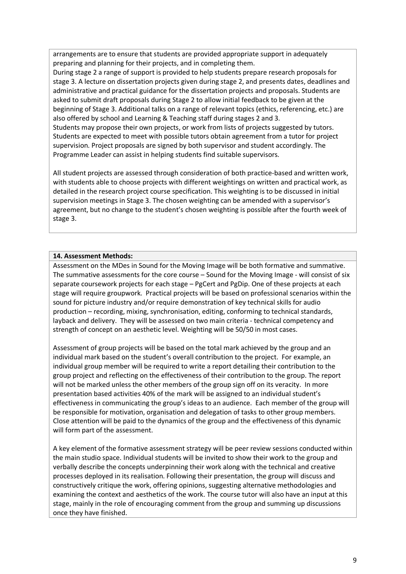arrangements are to ensure that students are provided appropriate support in adequately preparing and planning for their projects, and in completing them.

During stage 2 a range of support is provided to help students prepare research proposals for stage 3. A lecture on dissertation projects given during stage 2, and presents dates, deadlines and administrative and practical guidance for the dissertation projects and proposals. Students are asked to submit draft proposals during Stage 2 to allow initial feedback to be given at the beginning of Stage 3. Additional talks on a range of relevant topics (ethics, referencing, etc.) are also offered by school and Learning & Teaching staff during stages 2 and 3. Students may propose their own projects, or work from lists of projects suggested by tutors. Students are expected to meet with possible tutors obtain agreement from a tutor for project supervision. Project proposals are signed by both supervisor and student accordingly. The Programme Leader can assist in helping students find suitable supervisors.

All student projects are assessed through consideration of both practice-based and written work, with students able to choose projects with different weightings on written and practical work, as detailed in the research project course specification. This weighting is to be discussed in initial supervision meetings in Stage 3. The chosen weighting can be amended with a supervisor's agreement, but no change to the student's chosen weighting is possible after the fourth week of stage 3.

#### **14. Assessment Methods:**

Assessment on the MDes in Sound for the Moving Image will be both formative and summative. The summative assessments for the core course – Sound for the Moving Image - will consist of six separate coursework projects for each stage – PgCert and PgDip. One of these projects at each stage will require groupwork. Practical projects will be based on professional scenarios within the sound for picture industry and/or require demonstration of key technical skills for audio production – recording, mixing, synchronisation, editing, conforming to technical standards, layback and delivery. They will be assessed on two main criteria - technical competency and strength of concept on an aesthetic level. Weighting will be 50/50 in most cases.

Assessment of group projects will be based on the total mark achieved by the group and an individual mark based on the student's overall contribution to the project. For example, an individual group member will be required to write a report detailing their contribution to the group project and reflecting on the effectiveness of their contribution to the group. The report will not be marked unless the other members of the group sign off on its veracity. In more presentation based activities 40% of the mark will be assigned to an individual student's effectiveness in communicating the group's ideas to an audience. Each member of the group will be responsible for motivation, organisation and delegation of tasks to other group members. Close attention will be paid to the dynamics of the group and the effectiveness of this dynamic will form part of the assessment.

A key element of the formative assessment strategy will be peer review sessions conducted within the main studio space. Individual students will be invited to show their work to the group and verbally describe the concepts underpinning their work along with the technical and creative processes deployed in its realisation. Following their presentation, the group will discuss and constructively critique the work, offering opinions, suggesting alternative methodologies and examining the context and aesthetics of the work. The course tutor will also have an input at this stage, mainly in the role of encouraging comment from the group and summing up discussions once they have finished.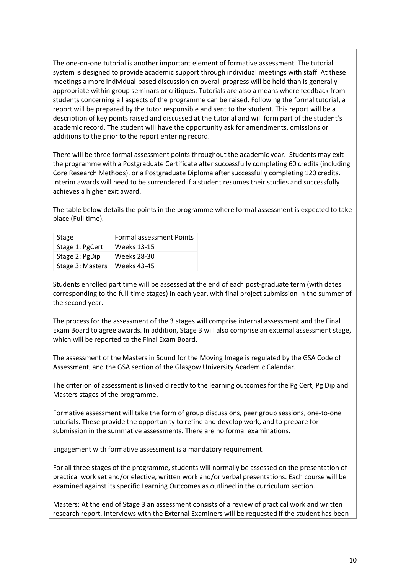The one-on-one tutorial is another important element of formative assessment. The tutorial system is designed to provide academic support through individual meetings with staff. At these meetings a more individual-based discussion on overall progress will be held than is generally appropriate within group seminars or critiques. Tutorials are also a means where feedback from students concerning all aspects of the programme can be raised. Following the formal tutorial, a report will be prepared by the tutor responsible and sent to the student. This report will be a description of key points raised and discussed at the tutorial and will form part of the student's academic record. The student will have the opportunity ask for amendments, omissions or additions to the prior to the report entering record.

There will be three formal assessment points throughout the academic year. Students may exit the programme with a Postgraduate Certificate after successfully completing 60 credits (including Core Research Methods), or a Postgraduate Diploma after successfully completing 120 credits. Interim awards will need to be surrendered if a student resumes their studies and successfully achieves a higher exit award.

The table below details the points in the programme where formal assessment is expected to take place (Full time).

| Stage            | <b>Formal assessment Points</b> |
|------------------|---------------------------------|
| Stage 1: PgCert  | Weeks 13-15                     |
| Stage 2: PgDip   | Weeks 28-30                     |
| Stage 3: Masters | Weeks 43-45                     |

Students enrolled part time will be assessed at the end of each post-graduate term (with dates corresponding to the full-time stages) in each year, with final project submission in the summer of the second year.

The process for the assessment of the 3 stages will comprise internal assessment and the Final Exam Board to agree awards. In addition, Stage 3 will also comprise an external assessment stage, which will be reported to the Final Exam Board.

The assessment of the Masters in Sound for the Moving Image is regulated by the GSA Code of Assessment, and the GSA section of the Glasgow University Academic Calendar.

The criterion of assessment is linked directly to the learning outcomes for the Pg Cert, Pg Dip and Masters stages of the programme.

Formative assessment will take the form of group discussions, peer group sessions, one-to-one tutorials. These provide the opportunity to refine and develop work, and to prepare for submission in the summative assessments. There are no formal examinations.

Engagement with formative assessment is a mandatory requirement.

For all three stages of the programme, students will normally be assessed on the presentation of practical work set and/or elective, written work and/or verbal presentations. Each course will be examined against its specific Learning Outcomes as outlined in the curriculum section.

Masters: At the end of Stage 3 an assessment consists of a review of practical work and written research report. Interviews with the External Examiners will be requested if the student has been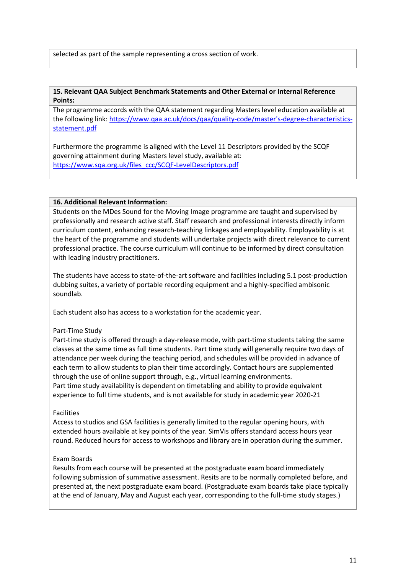selected as part of the sample representing a cross section of work.

#### **15. Relevant QAA Subject Benchmark Statements and Other External or Internal Reference Points:**

The programme accords with the QAA statement regarding Masters level education available at the following link: [https://www.qaa.ac.uk/docs/qaa/quality-code/master's-degree-characteristics](https://www.qaa.ac.uk/docs/qaa/quality-code/master)[statement.pdf](https://www.qaa.ac.uk/docs/qaa/quality-code/master)

Furthermore the programme is aligned with the Level 11 Descriptors provided by the SCQF governing attainment during Masters level study, available at: [https://www.sqa.org.uk/files\\_ccc/SCQF-LevelDescriptors.pdf](https://www.sqa.org.uk/files_ccc/SCQF-LevelDescriptors.pdf)

#### **16. Additional Relevant Information:**

Students on the MDes Sound for the Moving Image programme are taught and supervised by professionally and research active staff. Staff research and professional interests directly inform curriculum content, enhancing research-teaching linkages and employability. Employability is at the heart of the programme and students will undertake projects with direct relevance to current professional practice. The course curriculum will continue to be informed by direct consultation with leading industry practitioners.

The students have access to state-of-the-art software and facilities including 5.1 post-production dubbing suites, a variety of portable recording equipment and a highly-specified ambisonic soundlab.

Each student also has access to a workstation for the academic year.

#### Part-Time Study

Part-time study is offered through a day-release mode, with part-time students taking the same classes at the same time as full time students. Part time study will generally require two days of attendance per week during the teaching period, and schedules will be provided in advance of each term to allow students to plan their time accordingly. Contact hours are supplemented through the use of online support through, e.g., virtual learning environments. Part time study availability is dependent on timetabling and ability to provide equivalent experience to full time students, and is not available for study in academic year 2020-21

#### Facilities

Access to studios and GSA facilities is generally limited to the regular opening hours, with extended hours available at key points of the year. SimVis offers standard access hours year round. Reduced hours for access to workshops and library are in operation during the summer.

#### Exam Boards

Results from each course will be presented at the postgraduate exam board immediately following submission of summative assessment. Resits are to be normally completed before, and presented at, the next postgraduate exam board. (Postgraduate exam boards take place typically at the end of January, May and August each year, corresponding to the full-time study stages.)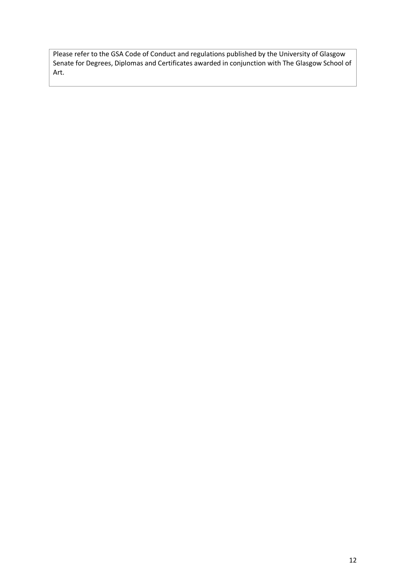Please refer to the GSA Code of Conduct and regulations published by the University of Glasgow Senate for Degrees, Diplomas and Certificates awarded in conjunction with The Glasgow School of Art.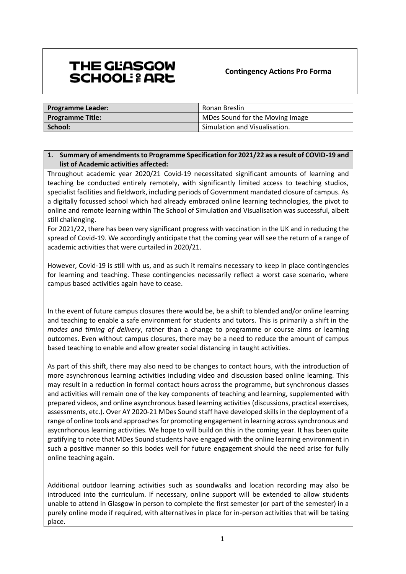# THE GLASGOW **SCHOOL: & ARE**

| <b>Programme Leader:</b> | Ronan Breslin                   |  |
|--------------------------|---------------------------------|--|
| <b>Programme Title:</b>  | MDes Sound for the Moving Image |  |
| School:                  | Simulation and Visualisation.   |  |

## **1. Summary of amendments to Programme Specification for 2021/22 as a result of COVID-19 and list of Academic activities affected:**

Throughout academic year 2020/21 Covid-19 necessitated significant amounts of learning and teaching be conducted entirely remotely, with significantly limited access to teaching studios, specialist facilities and fieldwork, including periods of Government mandated closure of campus. As a digitally focussed school which had already embraced online learning technologies, the pivot to online and remote learning within The School of Simulation and Visualisation was successful, albeit still challenging.

For 2021/22, there has been very significant progress with vaccination in the UK and in reducing the spread of Covid-19. We accordingly anticipate that the coming year will see the return of a range of academic activities that were curtailed in 2020/21.

However, Covid-19 is still with us, and as such it remains necessary to keep in place contingencies for learning and teaching. These contingencies necessarily reflect a worst case scenario, where campus based activities again have to cease.

In the event of future campus closures there would be, be a shift to blended and/or online learning and teaching to enable a safe environment for students and tutors. This is primarily a shift in the *modes and timing of delivery*, rather than a change to programme or course aims or learning outcomes. Even without campus closures, there may be a need to reduce the amount of campus based teaching to enable and allow greater social distancing in taught activities.

As part of this shift, there may also need to be changes to contact hours, with the introduction of more asynchronous learning activities including video and discussion based online learning. This may result in a reduction in formal contact hours across the programme, but synchronous classes and activities will remain one of the key components of teaching and learning, supplemented with prepared videos, and online asynchronous based learning activities (discussions, practical exercises, assessments, etc.). Over AY 2020-21 MDes Sound staff have developed skills in the deployment of a range of online tools and approaches for promoting engagement in learning across synchronous and asycnrhonous learning activities. We hope to will build on this in the coming year. It has been quite gratifying to note that MDes Sound students have engaged with the online learning environment in such a positive manner so this bodes well for future engagement should the need arise for fully online teaching again.

Additional outdoor learning activities such as soundwalks and location recording may also be introduced into the curriculum. If necessary, online support will be extended to allow students unable to attend in Glasgow in person to complete the first semester (or part of the semester) in a purely online mode if required, with alternatives in place for in-person activities that will be taking place.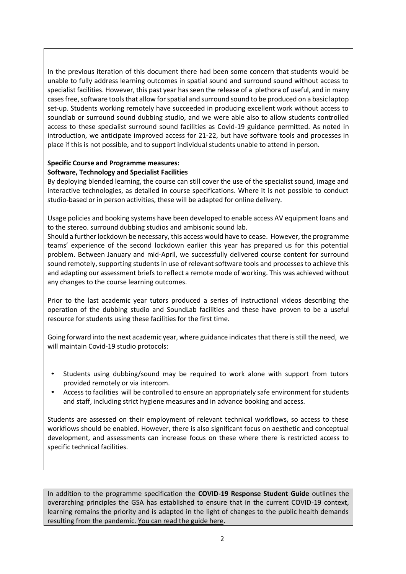In the previous iteration of this document there had been some concern that students would be unable to fully address learning outcomes in spatial sound and surround sound without access to specialist facilities. However, this past year has seen the release of a plethora of useful, and in many cases free, software tools that allow for spatial and surround sound to be produced on a basic laptop set-up. Students working remotely have succeeded in producing excellent work without access to soundlab or surround sound dubbing studio, and we were able also to allow students controlled access to these specialist surround sound facilities as Covid-19 guidance permitted. As noted in introduction, we anticipate improved access for 21-22, but have software tools and processes in place if this is not possible, and to support individual students unable to attend in person.

## **Specific Course and Programme measures: Software, Technology and Specialist Facilities**

By deploying blended learning, the course can still cover the use of the specialist sound, image and interactive technologies, as detailed in course specifications. Where it is not possible to conduct studio-based or in person activities, these will be adapted for online delivery.

Usage policies and booking systems have been developed to enable access AV equipment loans and to the stereo. surround dubbing studios and ambisonic sound lab.

Should a further lockdown be necessary, this access would have to cease. However, the programme teams' experience of the second lockdown earlier this year has prepared us for this potential problem. Between January and mid-April, we successfully delivered course content for surround sound remotely, supporting students in use of relevant software tools and processes to achieve this and adapting our assessment briefs to reflect a remote mode of working. This was achieved without any changes to the course learning outcomes.

Prior to the last academic year tutors produced a series of instructional videos describing the operation of the dubbing studio and SoundLab facilities and these have proven to be a useful resource for students using these facilities for the first time.

Going forward into the next academic year, where guidance indicates that there is still the need, we will maintain Covid-19 studio protocols:

- Students using dubbing/sound may be required to work alone with support from tutors provided remotely or via intercom.
- Access to facilities will be controlled to ensure an appropriately safe environment for students and staff, including strict hygiene measures and in advance booking and access.

Students are assessed on their employment of relevant technical workflows, so access to these workflows should be enabled. However, there is also significant focus on aesthetic and conceptual development, and assessments can increase focus on these where there is restricted access to specific technical facilities.

In addition to the programme specification the **COVID-19 Response Student Guide** outlines the overarching principles the GSA has established to ensure that in the current COVID-19 context, learning remains the priority and is adapted in the light of changes to the public health demands resulting from the pandemic. [You can read the guide here.](http://www.gsa.ac.uk/media/1810256/gsa-covid-response-student-guide.pdf)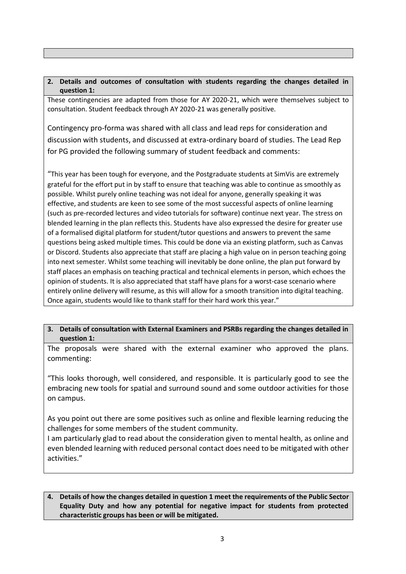## **2. Details and outcomes of consultation with students regarding the changes detailed in question 1:**

These contingencies are adapted from those for AY 2020-21, which were themselves subject to consultation. Student feedback through AY 2020-21 was generally positive.

Contingency pro-forma was shared with all class and lead reps for consideration and discussion with students, and discussed at extra-ordinary board of studies. The Lead Rep for PG provided the following summary of student feedback and comments:

"This year has been tough for everyone, and the Postgraduate students at SimVis are extremely grateful for the effort put in by staff to ensure that teaching was able to continue as smoothly as possible. Whilst purely online teaching was not ideal for anyone, generally speaking it was effective, and students are keen to see some of the most successful aspects of online learning (such as pre-recorded lectures and video tutorials for software) continue next year. The stress on blended learning in the plan reflects this. Students have also expressed the desire for greater use of a formalised digital platform for student/tutor questions and answers to prevent the same questions being asked multiple times. This could be done via an existing platform, such as Canvas or Discord. Students also appreciate that staff are placing a high value on in person teaching going into next semester. Whilst some teaching will inevitably be done online, the plan put forward by staff places an emphasis on teaching practical and technical elements in person, which echoes the opinion of students. It is also appreciated that staff have plans for a worst-case scenario where entirely online delivery will resume, as this will allow for a smooth transition into digital teaching. Once again, students would like to thank staff for their hard work this year."

### **3. Details of consultation with External Examiners and PSRBs regarding the changes detailed in question 1:**

The proposals were shared with the external examiner who approved the plans. commenting:

"This looks thorough, well considered, and responsible. It is particularly good to see the embracing new tools for spatial and surround sound and some outdoor activities for those on campus.

As you point out there are some positives such as online and flexible learning reducing the challenges for some members of the student community.

I am particularly glad to read about the consideration given to mental health, as online and even blended learning with reduced personal contact does need to be mitigated with other activities."

#### **4. Details of how the changes detailed in question 1 meet the requirements of the Public Sector Equality Duty and how any potential for negative impact for students from protected characteristic groups has been or will be mitigated.**